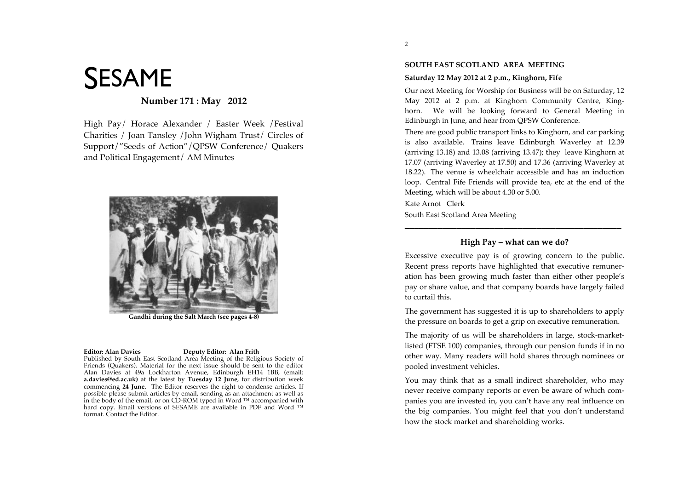# SESAME

# **Number 171 : May 2012**

High Pay/ Horace Alexander / Easter Week /Festival Charities / Joan Tansley /John Wigham Trust/ Circles of Support/"Seeds of Action"/QPSW Conference/ Quakers and Political Engagement/ AM Minutes



**Gandhi during the Salt March (see pages 4-8)**

#### **Editor: Alan Davies Deputy Editor: Alan Frith**

Published by South East Scotland Area Meeting of the Religious Society of Friends (Quakers). Material for the next issue should be sent to the editor Alan Davies at 49a Lockharton Avenue, Edinburgh EH14 1BB, (email: **a.davies@ed.ac.uk)** at the latest by **Tuesday 12 June**, for distribution week commencing **24 June**. The Editor reserves the right to condense articles. If possible please submit articles by email, sending as an attachment as well as in the body of the email, or on CD-ROM typed in Word ™ accompanied with hard copy. Email versions of SESAME are available in PDF and Word ™ format. Contact the Editor.

## **Saturday 12 May 2012 at 2 p.m., Kinghorn, Fife**

Our next Meeting for Worship for Business will be on Saturday, 12 May 2012 at 2 p.m. at Kinghorn Community Centre, Kinghorn. We will be looking forward to General Meeting in Edinburgh in June, and hear from OPSW Conference.

There are good public transport links to Kinghorn, and car parking is also available. Trains leave Edinburgh Waverley at 12.39 (arriving  $13.18$ ) and  $13.08$  (arriving  $13.47$ ); they leave Kinghorn at 17.07 (arriving Waverley at 17.50) and 17.36 (arriving Waverley at 18.22). The venue is wheelchair accessible and has an induction loop. Central Fife Friends will provide tea, etc at the end of the Meeting, which will be about 4.30 or 5.00.

Kate Arnot Clerk

South East Scotland Area Meeting

# **High Pay – what can we do?**

**\_\_\_\_\_\_\_\_\_\_\_\_\_\_\_\_\_\_\_\_\_\_\_\_\_\_\_\_\_\_\_\_\_\_\_\_\_\_\_\_\_\_\_\_\_\_**

Excessive executive pay is of growing concern to the public. Recent press reports have highlighted that executive remuneration has been growing much faster than either other people's pay or share value, and that company boards have largely failed to curtail this.

The government has suggested it is up to shareholders to apply the pressure on boards to get a grip on executive remuneration.

The majority of us will be shareholders in large, stock-marketlisted (FTSE 100) companies, through our pension funds if in no other way. Many readers will hold shares through nominees or pooled investment vehicles.

You may think that as a small indirect shareholder, who may never receive company reports or even be aware of which companies you are invested in, you can't have any real influence on the big companies. You might feel that you don't understand how the stock market and shareholding works.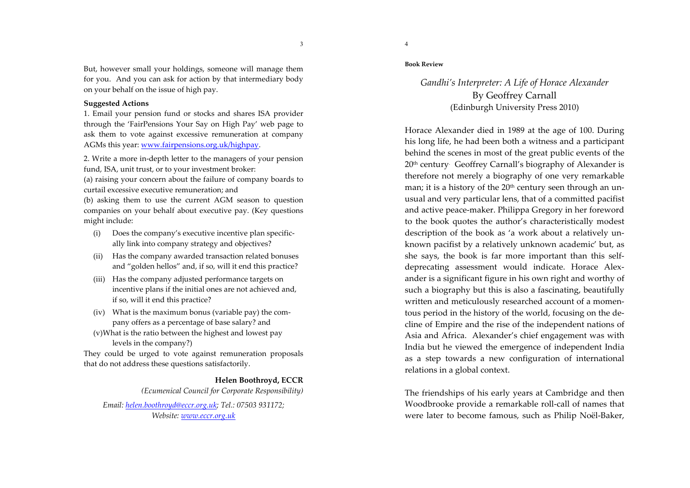But, however small your holdings, someone will manage them for you. And you can ask for action by that intermediary body on your behalf on the issue of high pay.

## **Suggested Actions**

1. Email your pension fund or stocks and shares ISA provider through the 'FairPensions Your Say on High Pay' web page to ask them to vote against excessive remuneration at company AGMs this year: www.fairpensions.org.uk/highpay.

2. Write a more in-depth letter to the managers of your pension fund, ISA, unit trust, or to your investment broker:

(a) raising your concern about the failure of company boards to curtail excessive executive remuneration; and

(b) asking them to use the current AGM season to question companies on your behalf about executive pay. (Key questions might include:

- (i) Does the company's executive incentive plan specifically link into company strategy and objectives?
- (ii) Has the company awarded transaction related bonuses and "golden hellos" and, if so, will it end this practice?
- (iii) Has the company adjusted performance targets on incentive plans if the initial ones are not achieved and, if so, will it end this practice?
- (iv) What is the maximum bonus (variable pay) the company offers as a percentage of base salary? and
- $(v)$ What is the ratio between the highest and lowest pay levels in the company?)

They could be urged to vote against remuneration proposals that do not address these questions satisfactorily.

> Helen Boothroyd, ECCR (Ecumenical Council for Corporate Responsibility)

Email: helen.boothroyd@eccr.org.uk; Tel.: 07503 931172; Website: www.eccr.org.uk

 $\overline{3}$ 

## **Book Review**

# Gandhi's Interpreter: A Life of Horace Alexander **By Geoffrey Carnall** (Edinburgh University Press 2010)

Horace Alexander died in 1989 at the age of 100. During his long life, he had been both a witness and a participant behind the scenes in most of the great public events of the 20<sup>th</sup> century Geoffrey Carnall's biography of Alexander is therefore not merely a biography of one very remarkable man; it is a history of the 20<sup>th</sup> century seen through an unusual and very particular lens, that of a committed pacifist and active peace-maker. Philippa Gregory in her foreword to the book quotes the author's characteristically modest description of the book as 'a work about a relatively unknown pacifist by a relatively unknown academic' but, as she says, the book is far more important than this selfdeprecating assessment would indicate. Horace Alexander is a significant figure in his own right and worthy of such a biography but this is also a fascinating, beautifully written and meticulously researched account of a momentous period in the history of the world, focusing on the decline of Empire and the rise of the independent nations of Asia and Africa. Alexander's chief engagement was with India but he viewed the emergence of independent India as a step towards a new configuration of international relations in a global context.

The friendships of his early years at Cambridge and then Woodbrooke provide a remarkable roll-call of names that were later to become famous, such as Philip Noël-Baker,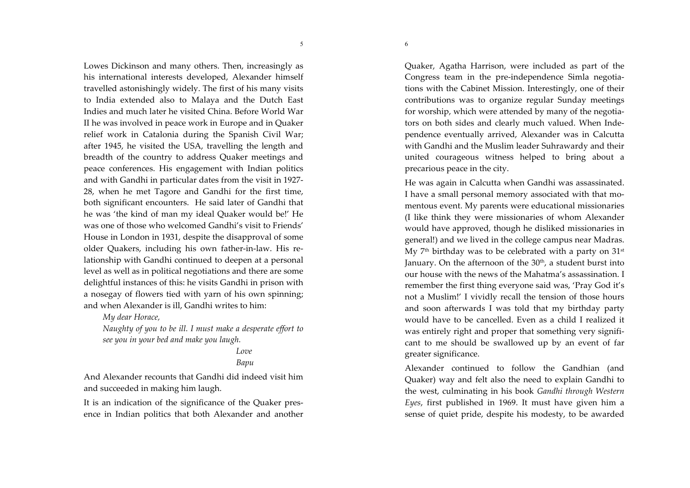5

6

Lowes Dickinson and many others. Then, increasingly as his international interests developed, Alexander himself travelled astonishingly widely. The first of his many visits to India extended also to Malaya and the Dutch East Indies and much later he visited China. Before World War II he was involved in peace work in Europe and in Quaker relief work in Catalonia during the Spanish Civil War; after 1945, he visited the USA, travelling the length and breadth of the country to address Quaker meetings and peace conferences. His engagement with Indian politics and with Gandhi in particular dates from the visit in 1927-28, when he met Tagore and Gandhi for the first time, both significant encounters. He said later of Gandhi that he was 'the kind of man my ideal Quaker would be!' He was one of those who welcomed Gandhi's visit to Friends' House in London in 1931, despite the disapproval of some older Quakers, including his own father-in-law. His relationship with Gandhi continued to deepen at a personal level as well as in political negotiations and there are some delightful instances of this: he visits Gandhi in prison with a nosegay of flowers tied with yarn of his own spinning; and when Alexander is ill, Gandhi writes to him:

My dear Horace,

Naughty of you to be ill. I must make a desperate effort to see you in your bed and make you laugh.

## $I$  ove

# Bapu

And Alexander recounts that Gandhi did indeed visit him and succeeded in making him laugh.

It is an indication of the significance of the Quaker presence in Indian politics that both Alexander and another Quaker, Agatha Harrison, were included as part of the Congress team in the pre-independence Simla negotiations with the Cabinet Mission. Interestingly, one of their contributions was to organize regular Sunday meetings for worship, which were attended by many of the negotiators on both sides and clearly much valued. When Independence eventually arrived. Alexander was in Calcutta with Gandhi and the Muslim leader Suhrawardy and their united courageous witness helped to bring about a precarious peace in the city.

He was again in Calcutta when Gandhi was assassinated. I have a small personal memory associated with that momentous event. My parents were educational missionaries (I like think they were missionaries of whom Alexander would have approved, though he disliked missionaries in general!) and we lived in the college campus near Madras. My 7<sup>th</sup> birthday was to be celebrated with a party on 31<sup>st</sup> January. On the afternoon of the 30<sup>th</sup>, a student burst into our house with the news of the Mahatma's assassination. I remember the first thing everyone said was, 'Pray God it's not a Muslim!' I vividly recall the tension of those hours and soon afterwards I was told that my birthday party would have to be cancelled. Even as a child I realized it was entirely right and proper that something very significant to me should be swallowed up by an event of far greater significance.

Alexander continued to follow the Gandhian (and Quaker) way and felt also the need to explain Gandhi to the west, culminating in his book Gandhi through Western Eyes, first published in 1969. It must have given him a sense of quiet pride, despite his modesty, to be awarded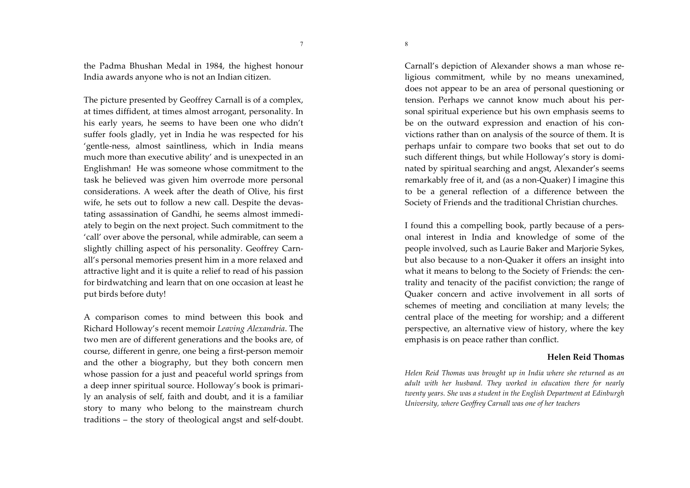the Padma Bhushan Medal in 1984, the highest honour India awards anyone who is not an Indian citizen.

The picture presented by Geoffrey Carnall is of a complex, at times diffident, at times almost arrogant, personality. In his early years, he seems to have been one who didn't suffer fools gladly, yet in India he was respected for his 'gentle-ness, almost saintliness, which in India means much more than executive ability' and is unexpected in an Englishman! He was someone whose commitment to the task he believed was given him overrode more personal considerations. A week after the death of Olive, his first wife, he sets out to follow a new call. Despite the devastating assassination of Gandhi, he seems almost immediately to begin on the next project. Such commitment to the 'call' over above the personal, while admirable, can seem a slightly chilling aspect of his personality. Geoffrey Carnall's personal memories present him in a more relaxed and attractive light and it is quite a relief to read of his passion for birdwatching and learn that on one occasion at least he put birds before duty!

A comparison comes to mind between this book and Richard Holloway's recent memoir Leaving Alexandria. The two men are of different generations and the books are, of course, different in genre, one being a first-person memoir and the other a biography, but they both concern men whose passion for a just and peaceful world springs from a deep inner spiritual source. Holloway's book is primarily an analysis of self, faith and doubt, and it is a familiar story to many who belong to the mainstream church traditions - the story of theological angst and self-doubt. Carnall's depiction of Alexander shows a man whose religious commitment, while by no means unexamined, does not appear to be an area of personal questioning or tension. Perhaps we cannot know much about his personal spiritual experience but his own emphasis seems to be on the outward expression and enaction of his convictions rather than on analysis of the source of them. It is perhaps unfair to compare two books that set out to do such different things, but while Holloway's story is dominated by spiritual searching and angst, Alexander's seems remarkably free of it, and (as a non-Quaker) I imagine this to be a general reflection of a difference between the Society of Friends and the traditional Christian churches.

I found this a compelling book, partly because of a personal interest in India and knowledge of some of the people involved, such as Laurie Baker and Marjorie Sykes, but also because to a non-Quaker it offers an insight into what it means to belong to the Society of Friends: the centrality and tenacity of the pacifist conviction; the range of Ouaker concern and active involvement in all sorts of schemes of meeting and conciliation at many levels; the central place of the meeting for worship; and a different perspective, an alternative view of history, where the key emphasis is on peace rather than conflict.

# **Helen Reid Thomas**

Helen Reid Thomas was brought up in India where she returned as an adult with her husband. They worked in education there for nearly twenty years. She was a student in the English Department at Edinburgh University, where Geoffrey Carnall was one of her teachers

 $7\phantom{.0}$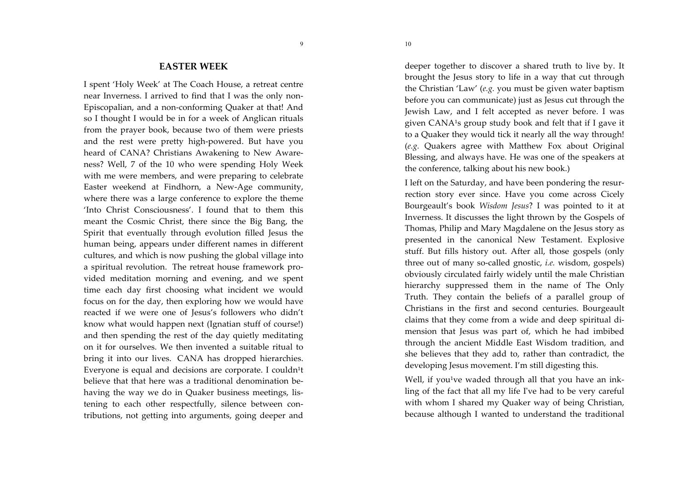## **EASTER WEEK**

9

I spent 'Holy Week' at The Coach House, a retreat centre near Inverness. I arrived to find that I was the only non-Episcopalian, and a non-conforming Quaker at that! And so I thought I would be in for a week of Anglican rituals from the prayer book, because two of them were priests and the rest were pretty high-powered. But have you heard of CANA? Christians Awakening to New Awareness? Well, 7 of the 10 who were spending Holy Week with me were members, and were preparing to celebrate Easter weekend at Findhorn, a New-Age community, where there was a large conference to explore the theme 'Into Christ Consciousness'. I found that to them this meant the Cosmic Christ, there since the Big Bang, the Spirit that eventually through evolution filled Jesus the human being, appears under different names in different cultures, and which is now pushing the global village into a spiritual revolution. The retreat house framework provided meditation morning and evening, and we spent time each day first choosing what incident we would focus on for the day, then exploring how we would have reacted if we were one of Jesus's followers who didn't know what would happen next (Ignatian stuff of course!) and then spending the rest of the day quietly meditating on it for ourselves. We then invented a suitable ritual to bring it into our lives. CANA has dropped hierarchies. Everyone is equal and decisions are corporate. I couldn<sup>1</sup>t believe that that here was a traditional denomination behaving the way we do in Quaker business meetings, listening to each other respectfully, silence between contributions, not getting into arguments, going deeper and

10

deeper together to discover a shared truth to live by. It brought the Jesus story to life in a way that cut through the Christian 'Law' (e.g. you must be given water baptism before you can communicate) just as Jesus cut through the Jewish Law, and I felt accepted as never before. I was given CANA<sup>1</sup>s group study book and felt that if I gave it to a Quaker they would tick it nearly all the way through! (e.g. Quakers agree with Matthew Fox about Original Blessing, and always have. He was one of the speakers at the conference, talking about his new book.)

I left on the Saturday, and have been pondering the resurrection story ever since. Have you come across Cicely Bourgeault's book Wisdom Jesus? I was pointed to it at Inverness. It discusses the light thrown by the Gospels of Thomas, Philip and Mary Magdalene on the Jesus story as presented in the canonical New Testament. Explosive stuff. But fills history out. After all, those gospels (only three out of many so-called gnostic, i.e. wisdom, gospels) obviously circulated fairly widely until the male Christian hierarchy suppressed them in the name of The Only Truth. They contain the beliefs of a parallel group of Christians in the first and second centuries. Bourgeault claims that they come from a wide and deep spiritual dimension that Jesus was part of, which he had imbibed through the ancient Middle East Wisdom tradition, and she believes that they add to, rather than contradict, the developing Jesus movement. I'm still digesting this.

Well, if you<sup>1</sup>ve waded through all that you have an inkling of the fact that all my life I've had to be very careful with whom I shared my Quaker way of being Christian, because although I wanted to understand the traditional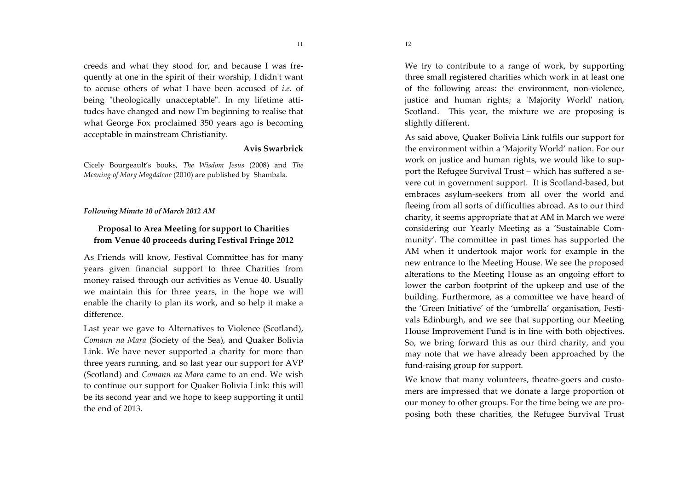creeds and what they stood for, and because I was frequently at one in the spirit of their worship, I didn't want to accuse others of what I have been accused of *i.e.* of being "theologically unacceptable". In my lifetime attitudes have changed and now I'm beginning to realise that what George Fox proclaimed 350 years ago is becoming acceptable in mainstream Christianity.

## Avis Swarbrick

Cicely Bourgeault's books, The Wisdom Jesus (2008) and The Meaning of Mary Magdalene (2010) are published by Shambala.

#### Following Minute 10 of March 2012 AM

# Proposal to Area Meeting for support to Charities from Venue 40 proceeds during Festival Fringe 2012

As Friends will know, Festival Committee has for many years given financial support to three Charities from money raised through our activities as Venue 40. Usually we maintain this for three years, in the hope we will enable the charity to plan its work, and so help it make a difference.

Last year we gave to Alternatives to Violence (Scotland), Comann na Mara (Society of the Sea), and Quaker Bolivia Link. We have never supported a charity for more than three years running, and so last year our support for AVP (Scotland) and *Comann na Mara* came to an end. We wish to continue our support for Quaker Bolivia Link: this will be its second year and we hope to keep supporting it until the end of 2013.

We try to contribute to a range of work, by supporting three small registered charities which work in at least one of the following areas: the environment, non-violence, justice and human rights; a 'Majority World' nation, Scotland. This year, the mixture we are proposing is slightly different.

As said above, Quaker Bolivia Link fulfils our support for the environment within a 'Majority World' nation. For our work on justice and human rights, we would like to support the Refugee Survival Trust - which has suffered a severe cut in government support. It is Scotland-based, but embraces asylum-seekers from all over the world and fleeing from all sorts of difficulties abroad. As to our third charity, it seems appropriate that at AM in March we were considering our Yearly Meeting as a 'Sustainable Community'. The committee in past times has supported the AM when it undertook major work for example in the new entrance to the Meeting House. We see the proposed alterations to the Meeting House as an ongoing effort to lower the carbon footprint of the upkeep and use of the building. Furthermore, as a committee we have heard of the 'Green Initiative' of the 'umbrella' organisation, Festivals Edinburgh, and we see that supporting our Meeting House Improvement Fund is in line with both objectives. So, we bring forward this as our third charity, and you may note that we have already been approached by the fund-raising group for support.

We know that many volunteers, theatre-goers and customers are impressed that we donate a large proportion of our money to other groups. For the time being we are proposing both these charities, the Refugee Survival Trust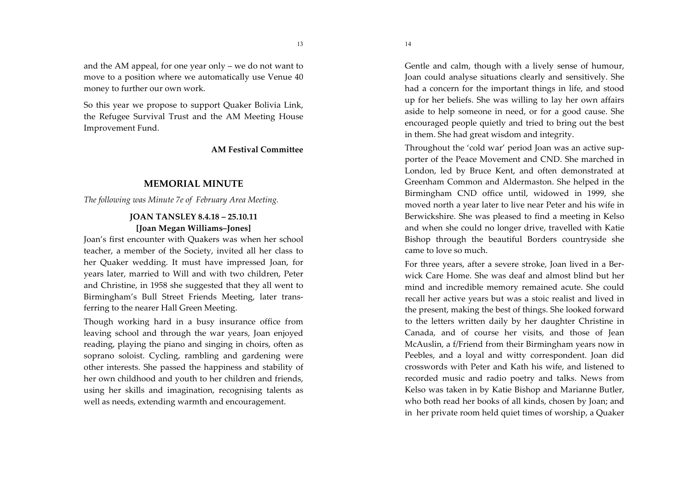and the AM appeal, for one year only  $-$  we do not want to move to a position where we automatically use Venue 40 money to further our own work.

So this year we propose to support Quaker Bolivia Link, the Refugee Survival Trust and the AM Meeting House Improvement Fund.

## **AM Festival Committee**

13

## **MEMORIAL MINUTE**

The following was Minute 7e of February Area Meeting.

# **JOAN TANSLEY 8.4.18 - 25.10.11** [Joan Megan Williams-Jones]

Joan's first encounter with Ouakers was when her school teacher, a member of the Society, invited all her class to her Quaker wedding. It must have impressed Joan, for vears later, married to Will and with two children. Peter and Christine, in 1958 she suggested that they all went to Birmingham's Bull Street Friends Meeting, later transferring to the nearer Hall Green Meeting.

Though working hard in a busy insurance office from leaving school and through the war years, Joan enjoyed reading, playing the piano and singing in choirs, often as soprano soloist. Cycling, rambling and gardening were other interests. She passed the happiness and stability of her own childhood and youth to her children and friends, using her skills and imagination, recognising talents as well as needs, extending warmth and encouragement.

Gentle and calm, though with a lively sense of humour, Joan could analyse situations clearly and sensitively. She had a concern for the important things in life, and stood up for her beliefs. She was willing to lay her own affairs aside to help someone in need, or for a good cause. She encouraged people quietly and tried to bring out the best in them. She had great wisdom and integrity.

Throughout the 'cold war' period Joan was an active supporter of the Peace Movement and CND. She marched in London, led by Bruce Kent, and often demonstrated at Greenham Common and Aldermaston. She helped in the Birmingham CND office until, widowed in 1999, she moved north a year later to live near Peter and his wife in Berwickshire. She was pleased to find a meeting in Kelso and when she could no longer drive, travelled with Katie Bishop through the beautiful Borders countryside she came to love so much.

For three years, after a severe stroke, Joan lived in a Berwick Care Home. She was deaf and almost blind but her mind and incredible memory remained acute. She could recall her active years but was a stoic realist and lived in the present, making the best of things. She looked forward to the letters written daily by her daughter Christine in Canada, and of course her visits, and those of Jean McAuslin, a f/Friend from their Birmingham years now in Peebles, and a loyal and witty correspondent. Joan did crosswords with Peter and Kath his wife, and listened to recorded music and radio poetry and talks. News from Kelso was taken in by Katie Bishop and Marianne Butler, who both read her books of all kinds, chosen by Joan; and in her private room held quiet times of worship, a Quaker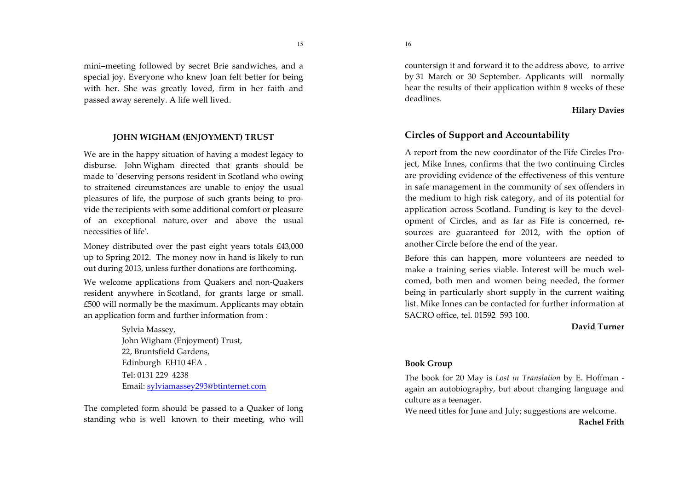mini-meeting followed by secret Brie sandwiches, and a special joy. Everyone who knew Joan felt better for being with her. She was greatly loved, firm in her faith and passed away serenely. A life well lived.

# JOHN WIGHAM (ENJOYMENT) TRUST

We are in the happy situation of having a modest legacy to disburse. John Wigham directed that grants should be made to 'deserving persons resident in Scotland who owing to straitened circumstances are unable to enjoy the usual pleasures of life, the purpose of such grants being to provide the recipients with some additional comfort or pleasure of an exceptional nature, over and above the usual necessities of life'.

Money distributed over the past eight years totals £43,000 up to Spring 2012. The money now in hand is likely to run out during 2013, unless further donations are forthcoming.

We welcome applications from Quakers and non-Quakers resident anywhere in Scotland, for grants large or small. £500 will normally be the maximum. Applicants may obtain an application form and further information from:

> Sylvia Massey, John Wigham (Enjoyment) Trust, 22, Bruntsfield Gardens. Edinburgh EH104EA. Tel: 0131 229 4238 Email: sylviamassey293@btinternet.com

The completed form should be passed to a Quaker of long standing who is well known to their meeting, who will 16

countersign it and forward it to the address above, to arrive by 31 March or 30 September. Applicants will normally hear the results of their application within 8 weeks of these deadlines.

## **Hilary Davies**

# **Circles of Support and Accountability**

A report from the new coordinator of the Fife Circles Project, Mike Innes, confirms that the two continuing Circles are providing evidence of the effectiveness of this venture in safe management in the community of sex offenders in the medium to high risk category, and of its potential for application across Scotland. Funding is key to the development of Circles, and as far as Fife is concerned, resources are guaranteed for 2012, with the option of another Circle before the end of the year.

Before this can happen, more volunteers are needed to make a training series viable. Interest will be much welcomed, both men and women being needed, the former being in particularly short supply in the current waiting list. Mike Innes can be contacted for further information at SACRO office, tel. 01592 593 100.

## David Turner

# **Book Group**

The book for 20 May is *Lost in Translation* by E. Hoffman again an autobiography, but about changing language and culture as a teenager.

We need titles for June and July; suggestions are welcome.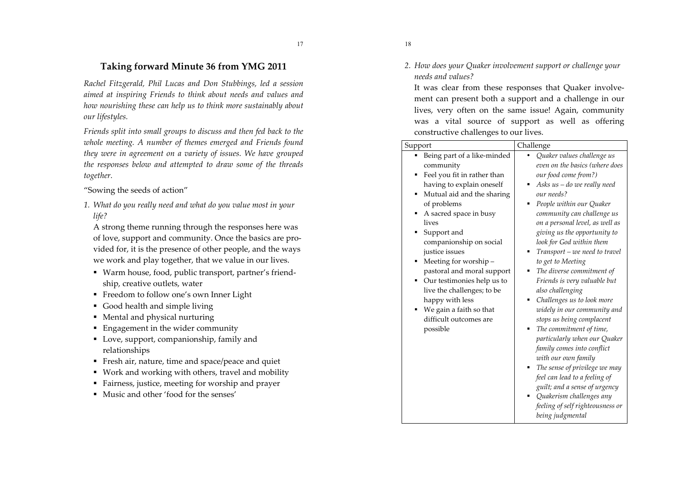# Taking forward Minute 36 from YMG 2011

Rachel Fitzgerald, Phil Lucas and Don Stubbings, led a session aimed at inspiring Friends to think about needs and values and how nourishing these can help us to think more sustainably about our lifestyles.

Friends split into small groups to discuss and then fed back to the whole meeting. A number of themes emerged and Friends found they were in agreement on a variety of issues. We have grouped the responses below and attempted to draw some of the threads together.

"Sowing the seeds of action"

1. What do you really need and what do you value most in your life?

A strong theme running through the responses here was of love, support and community. Once the basics are provided for, it is the presence of other people, and the ways we work and play together, that we value in our lives.

- Warm house, food, public transport, partner's friendship, creative outlets, water
- Freedom to follow one's own Inner Light
- Good health and simple living
- Mental and physical nurturing
- $\blacksquare$  Engagement in the wider community
- Love, support, companionship, family and relationships
- Fresh air, nature, time and space/peace and quiet
- Work and working with others, travel and mobility
- Fairness, justice, meeting for worship and prayer
- Music and other 'food for the senses'
- 18
- 2. How does your Quaker involvement support or challenge your needs and values?

It was clear from these responses that Quaker involvement can present both a support and a challenge in our lives, very often on the same issue! Again, community was a vital source of support as well as offering constructive challenges to our lives.

| Support                                                                                                                                                                                                                                                                                                                                                                                                                                                               | Challenge                                                                                                                                                                                                                                                                                                                                                                                                                                                                                                                                                                                                                                                                                                                                                                                                                |
|-----------------------------------------------------------------------------------------------------------------------------------------------------------------------------------------------------------------------------------------------------------------------------------------------------------------------------------------------------------------------------------------------------------------------------------------------------------------------|--------------------------------------------------------------------------------------------------------------------------------------------------------------------------------------------------------------------------------------------------------------------------------------------------------------------------------------------------------------------------------------------------------------------------------------------------------------------------------------------------------------------------------------------------------------------------------------------------------------------------------------------------------------------------------------------------------------------------------------------------------------------------------------------------------------------------|
| Being part of a like-minded<br>community<br>Feel you fit in rather than<br>٠<br>having to explain oneself<br>Mutual aid and the sharing<br>of problems<br>A sacred space in busy<br>lives<br>Support and<br>companionship on social<br>justice issues<br>Meeting for worship-<br>٠<br>pastoral and moral support<br>Our testimonies help us to<br>٠<br>live the challenges; to be<br>happy with less<br>We gain a faith so that<br>difficult outcomes are<br>possible | Quaker values challenge us<br>even on the basics (where does<br>our food come from?)<br>Asks us - do we really need<br>٠<br>our needs?<br>People within our Quaker<br>community can challenge us<br>on a personal level, as well as<br>giving us the opportunity to<br>look for God within them<br>Transport - we need to travel<br>to get to Meeting<br>The diverse commitment of<br>٠<br>Friends is very valuable but<br>also challenging<br>Challenges us to look more<br>widely in our community and<br>stops us being complacent<br>The commitment of time,<br>particularly when our Quaker<br>family comes into conflict<br>with our own family<br>The sense of privilege we may<br>feel can lead to a feeling of<br>guilt; and a sense of urgency<br>Quakerism challenges any<br>feeling of self righteousness or |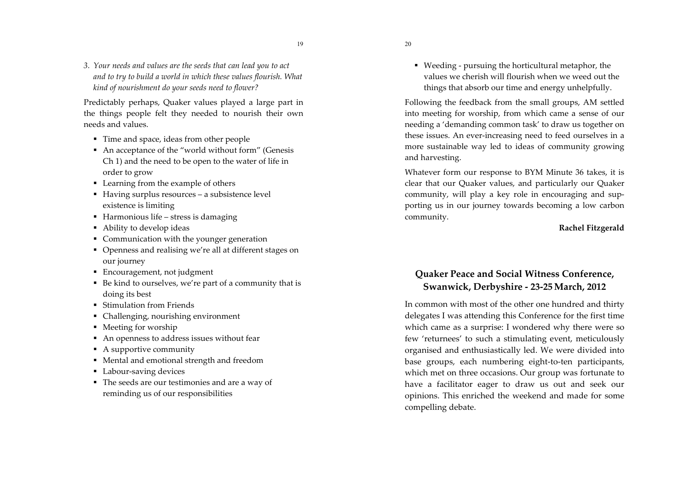19

3. Your needs and values are the seeds that can lead you to act and to try to build a world in which these values flourish. What kind of nourishment do your seeds need to flower?

Predictably perhaps, Quaker values played a large part in the things people felt they needed to nourish their own needs and values.

- Time and space, ideas from other people
- An acceptance of the "world without form" (Genesis Ch 1) and the need to be open to the water of life in order to grow
- Learning from the example of others
- Having surplus resources a subsistence level existence is limiting
- $\blacksquare$  Harmonious life stress is damaging
- Ability to develop ideas
- Communication with the younger generation
- Openness and realising we're all at different stages on our journey
- Encouragement, not judgment
- Be kind to ourselves, we're part of a community that is doing its best
- Stimulation from Friends
- Challenging, nourishing environment
- Meeting for worship
- An openness to address issues without fear
- $\blacksquare$  A supportive community
- Mental and emotional strength and freedom
- Labour-saving devices
- The seeds are our testimonies and are a way of reminding us of our responsibilities

• Weeding - pursuing the horticultural metaphor, the values we cherish will flourish when we weed out the things that absorb our time and energy unhelpfully.

Following the feedback from the small groups, AM settled into meeting for worship, from which came a sense of our needing a 'demanding common task' to draw us together on these issues. An ever-increasing need to feed ourselves in a more sustainable way led to ideas of community growing and harvesting.

Whatever form our response to BYM Minute 36 takes, it is clear that our Quaker values, and particularly our Quaker community, will play a key role in encouraging and supporting us in our journey towards becoming a low carbon community.

Rachel Fitzgerald

# **Ouaker Peace and Social Witness Conference,** Swanwick, Derbyshire - 23-25 March, 2012

In common with most of the other one hundred and thirty delegates I was attending this Conference for the first time which came as a surprise: I wondered why there were so few 'returnees' to such a stimulating event, meticulously organised and enthusiastically led. We were divided into base groups, each numbering eight-to-ten participants, which met on three occasions. Our group was fortunate to have a facilitator eager to draw us out and seek our opinions. This enriched the weekend and made for some compelling debate.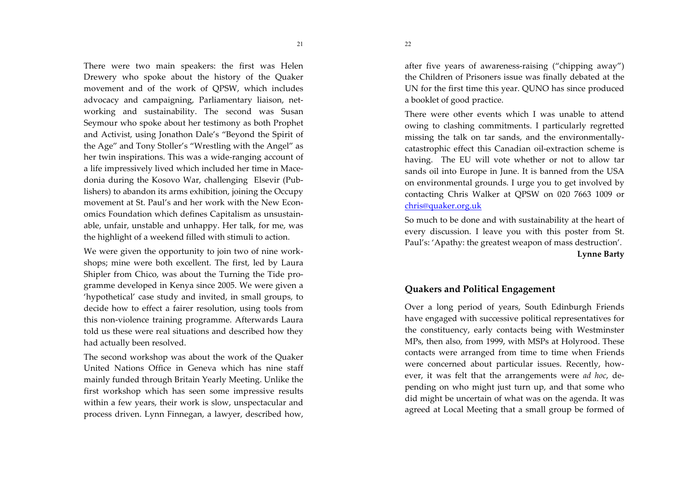There were two main speakers: the first was Helen Drewery who spoke about the history of the Quaker movement and of the work of OPSW, which includes advocacy and campaigning, Parliamentary liaison, networking and sustainability. The second was Susan Seymour who spoke about her testimony as both Prophet and Activist, using Jonathon Dale's "Beyond the Spirit of the Age" and Tony Stoller's "Wrestling with the Angel" as her twin inspirations. This was a wide-ranging account of a life impressively lived which included her time in Macedonia during the Kosovo War, challenging Elsevir (Publishers) to abandon its arms exhibition, joining the Occupy movement at St. Paul's and her work with the New Economics Foundation which defines Capitalism as unsustainable, unfair, unstable and unhappy. Her talk, for me, was the highlight of a weekend filled with stimuli to action.

We were given the opportunity to join two of nine workshops; mine were both excellent. The first, led by Laura Shipler from Chico, was about the Turning the Tide programme developed in Kenya since 2005. We were given a 'hypothetical' case study and invited, in small groups, to decide how to effect a fairer resolution, using tools from this non-violence training programme. Afterwards Laura told us these were real situations and described how they had actually been resolved.

The second workshop was about the work of the Quaker United Nations Office in Geneva which has nine staff mainly funded through Britain Yearly Meeting. Unlike the first workshop which has seen some impressive results within a few years, their work is slow, unspectacular and process driven. Lynn Finnegan, a lawyer, described how, after five years of awareness-raising ("chipping away") the Children of Prisoners issue was finally debated at the UN for the first time this year. QUNO has since produced a booklet of good practice.

There were other events which I was unable to attend owing to clashing commitments. I particularly regretted missing the talk on tar sands, and the environmentallycatastrophic effect this Canadian oil-extraction scheme is having. The EU will vote whether or not to allow tar sands oil into Europe in June. It is banned from the USA on environmental grounds. I urge you to get involved by contacting Chris Walker at QPSW on 020 7663 1009 or chris@quaker.org.uk

So much to be done and with sustainability at the heart of every discussion. I leave you with this poster from St. Paul's: 'Apathy: the greatest weapon of mass destruction'. **Lynne Barty** 

# **Quakers and Political Engagement**

Over a long period of years, South Edinburgh Friends have engaged with successive political representatives for the constituency, early contacts being with Westminster MPs, then also, from 1999, with MSPs at Holyrood. These contacts were arranged from time to time when Friends were concerned about particular issues. Recently, however, it was felt that the arrangements were ad hoc, depending on who might just turn up, and that some who did might be uncertain of what was on the agenda. It was agreed at Local Meeting that a small group be formed of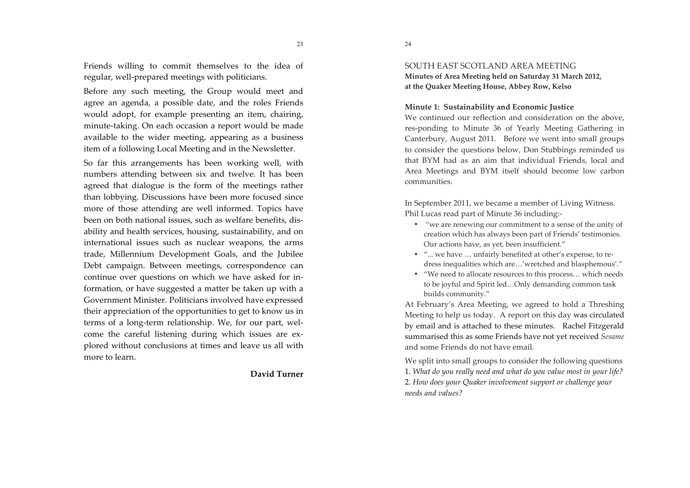Friends willing to commit themselves to the idea of regular, well-prepared meetings with politicians.

Before any such meeting, the Group would meet and agree an agenda, a possible date, and the roles Friends would adopt, for example presenting an item, chairing, minute-taking. On each occasion a report would be made available to the wider meeting, appearing as a business item of a following Local Meeting and in the Newsletter.

So far this arrangements has been working well, with numbers attending between six and twelve. It has been agreed that dialogue is the form of the meetings rather than lobbying. Discussions have been more focused since more of those attending are well informed. Topics have been on both national issues, such as welfare benefits, disability and health services, housing, sustainability, and on international issues such as nuclear weapons, the arms trade, Millennium Development Goals, and the Jubilee Debt campaign. Between meetings, correspondence can continue over questions on which we have asked for information, or have suggested a matter be taken up with a Government Minister. Politicians involved have expressed their appreciation of the opportunities to get to know us in terms of a long-term relationship. We, for our part, welcome the careful listening during which issues are explored without conclusions at times and leave us all with more to learn.

## David Turner

SOUTH EAST SCOTLAND AREA MEETING Minutes of Area Meeting held on Saturday 31 March 2012, at the Quaker Meeting House, Abbey Row, Kelso

#### Minute 1: Sustainability and Economic Justice

We continued our reflection and consideration on the above, res-ponding to Minute 36 of Yearly Meeting Gathering in Canterbury, August 2011. Before we went into small groups to consider the questions below, Don Stubbings reminded us that BYM had as an aim that individual Friends, local and Area Meetings and BYM itself should become low carbon communities.

In September 2011, we became a member of Living Witness. Phil Lucas read part of Minute 36 including:-

- "we are renewing our commitment to a sense of the unity of creation which has always been part of Friends' testimonies. Our actions have, as yet, been insufficient."
- "... we have ... unfairly benefited at other's expense, to redress inequalities which are...'wretched and blasphemous'."
- "We need to allocate resources to this process... which needs to be joyful and Spirit led...Only demanding common task builds community."

At February's Area Meeting, we agreed to hold a Threshing Meeting to help us today. A report on this day was circulated by email and is attached to these minutes. Rachel Fitzgerald summarised this as some Friends have not yet received Sesame and some Friends do not have email.

We split into small groups to consider the following questions 1. What do you really need and what do you value most in your life? 2. How does your Quaker involvement support or challenge your needs and values?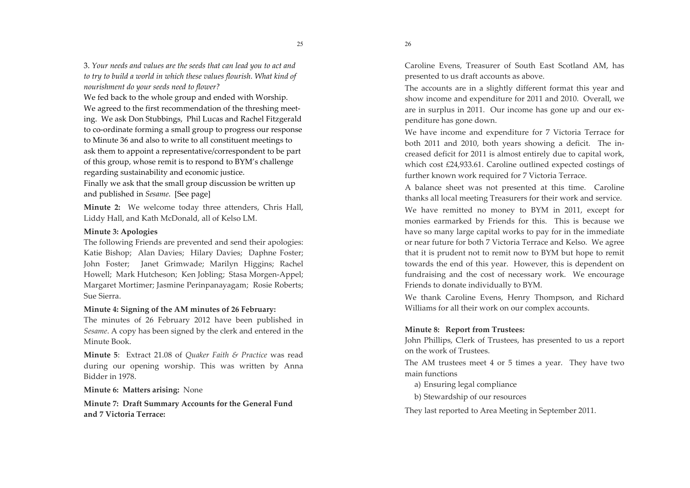3. Your needs and values are the seeds that can lead you to act and to try to build a world in which these values flourish. What kind of nourishment do your seeds need to flower?

We fed back to the whole group and ended with Worship. We agreed to the first recommendation of the threshing meeting. We ask Don Stubbings, Phil Lucas and Rachel Fitzgerald to co-ordinate forming a small group to progress our response to Minute 36 and also to write to all constituent meetings to ask them to appoint a representative/correspondent to be part of this group, whose remit is to respond to BYM's challenge regarding sustainability and economic justice.

Finally we ask that the small group discussion be written up and published in *Sesame*. [See page]

Minute 2: We welcome today three attenders, Chris Hall, Liddy Hall, and Kath McDonald, all of Kelso LM.

## Minute 3: Apologies

The following Friends are prevented and send their apologies: Katie Bishop; Alan Davies; Hilary Davies; Daphne Foster; John Foster; Janet Grimwade; Marilyn Higgins; Rachel Howell; Mark Hutcheson; Ken Jobling; Stasa Morgen-Appel; Margaret Mortimer; Jasmine Perinpanayagam; Rosie Roberts; Sue Sierra.

## Minute 4: Signing of the AM minutes of 26 February:

The minutes of 26 February 2012 have been published in Sesame. A copy has been signed by the clerk and entered in the Minute Book.

**Minute 5:** Extract 21.08 of *Ouaker Faith & Practice* was read during our opening worship. This was written by Anna Bidder in 1978.

Minute 6: Matters arising: None

Minute 7: Draft Summary Accounts for the General Fund and 7 Victoria Terrace:

Caroline Evens, Treasurer of South East Scotland AM, has presented to us draft accounts as above.

The accounts are in a slightly different format this year and show income and expenditure for 2011 and 2010. Overall, we are in surplus in 2011. Our income has gone up and our expenditure has gone down.

We have income and expenditure for 7 Victoria Terrace for both 2011 and 2010, both years showing a deficit. The increased deficit for 2011 is almost entirely due to capital work, which cost £24,933.61. Caroline outlined expected costings of further known work required for 7 Victoria Terrace.

A balance sheet was not presented at this time. Caroline thanks all local meeting Treasurers for their work and service.

We have remitted no money to BYM in 2011, except for monies earmarked by Friends for this. This is because we have so many large capital works to pay for in the immediate or near future for both 7 Victoria Terrace and Kelso. We agree that it is prudent not to remit now to BYM but hope to remit towards the end of this year. However, this is dependent on fundraising and the cost of necessary work. We encourage Friends to donate individually to BYM.

We thank Caroline Evens, Henry Thompson, and Richard Williams for all their work on our complex accounts.

## Minute 8: Report from Trustees:

John Phillips, Clerk of Trustees, has presented to us a report on the work of Trustees.

The AM trustees meet 4 or 5 times a year. They have two main functions

- a) Ensuring legal compliance
- b) Stewardship of our resources

They last reported to Area Meeting in September 2011.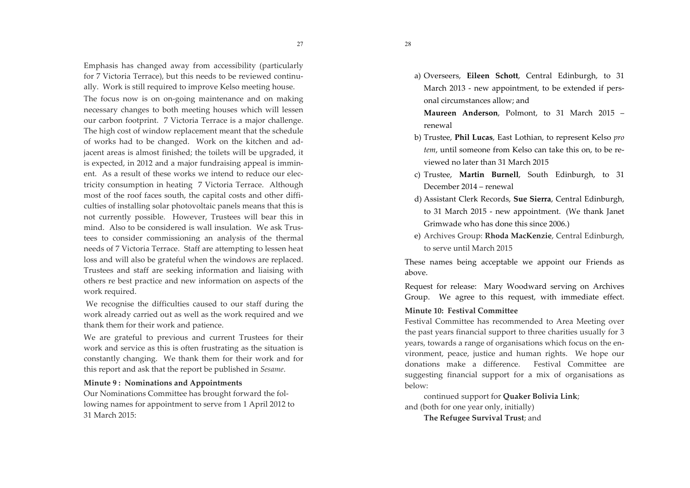Emphasis has changed away from accessibility (particularly for 7 Victoria Terrace), but this needs to be reviewed continually. Work is still required to improve Kelso meeting house. The focus now is on on-going maintenance and on making necessary changes to both meeting houses which will lessen our carbon footprint. 7 Victoria Terrace is a major challenge. The high cost of window replacement meant that the schedule of works had to be changed. Work on the kitchen and adjacent areas is almost finished; the toilets will be upgraded, it is expected, in 2012 and a major fundraising appeal is imminent. As a result of these works we intend to reduce our electricity consumption in heating 7 Victoria Terrace. Although most of the roof faces south, the capital costs and other difficulties of installing solar photovoltaic panels means that this is not currently possible. However, Trustees will bear this in mind. Also to be considered is wall insulation. We ask Trustees to consider commissioning an analysis of the thermal needs of 7 Victoria Terrace. Staff are attempting to lessen heat loss and will also be grateful when the windows are replaced. Trustees and staff are seeking information and liaising with others re best practice and new information on aspects of the work required.

We recognise the difficulties caused to our staff during the work already carried out as well as the work required and we thank them for their work and patience.

We are grateful to previous and current Trustees for their work and service as this is often frustrating as the situation is constantly changing. We thank them for their work and for this report and ask that the report be published in Sesame.

#### Minute 9: Nominations and Appointments

Our Nominations Committee has brought forward the following names for appointment to serve from 1 April 2012 to 31 March 2015:

- a) Overseers, Eileen Schott, Central Edinburgh, to 31 March 2013 - new appointment, to be extended if personal circumstances allow; and
	- Maureen Anderson, Polmont, to 31 March 2015 renewal
- b) Trustee, Phil Lucas, East Lothian, to represent Kelso pro tem, until someone from Kelso can take this on, to be reviewed no later than 31 March 2015
- c) Trustee, Martin Burnell, South Edinburgh, to 31 December 2014 - renewal
- d) Assistant Clerk Records, Sue Sierra, Central Edinburgh, to 31 March 2015 - new appointment. (We thank Janet Grimwade who has done this since 2006.)
- e) Archives Group: Rhoda MacKenzie, Central Edinburgh, to serve until March 2015

These names being acceptable we appoint our Friends as above.

Request for release: Mary Woodward serving on Archives Group. We agree to this request, with immediate effect.

## Minute 10: Festival Committee

Festival Committee has recommended to Area Meeting over the past years financial support to three charities usually for 3 years, towards a range of organisations which focus on the environment, peace, justice and human rights. We hope our donations make a difference. Festival Committee are suggesting financial support for a mix of organisations as below:

continued support for Quaker Bolivia Link; and (both for one year only, initially) The Refugee Survival Trust; and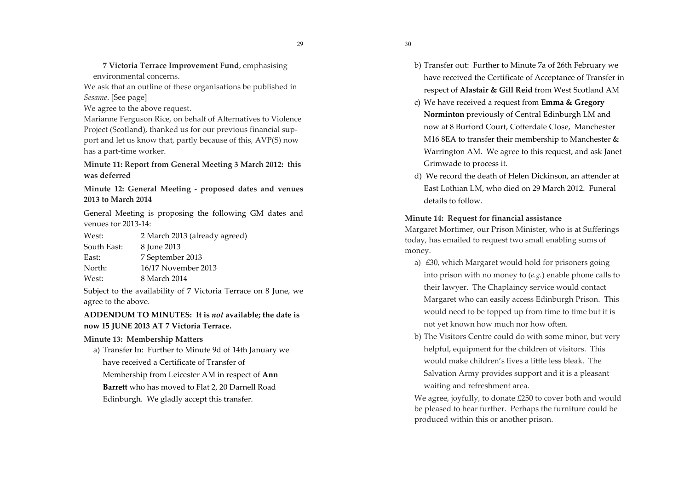7 Victoria Terrace Improvement Fund, emphasising environmental concerns.

We ask that an outline of these organisations be published in Sesame. [See page]

We agree to the above request.

Marianne Ferguson Rice, on behalf of Alternatives to Violence Project (Scotland), thanked us for our previous financial support and let us know that, partly because of this, AVP(S) now has a part-time worker.

Minute 11: Report from General Meeting 3 March 2012: this was deferred

Minute 12: General Meeting - proposed dates and venues 2013 to March 2014

General Meeting is proposing the following GM dates and venues for 2013-14:

 $W$ est $\cdot$ 2 March 2013 (already agreed)

8 June 2013 South East:

 $East<sup>+</sup>$ 7 September 2013

North: 16/17 November 2013

West: 8 March 2014

Subject to the availability of 7 Victoria Terrace on 8 June, we agree to the above.

ADDENDUM TO MINUTES: It is not available; the date is now 15 JUNE 2013 AT 7 Victoria Terrace.

Minute 13: Membership Matters

a) Transfer In: Further to Minute 9d of 14th January we have received a Certificate of Transfer of Membership from Leicester AM in respect of Ann **Barrett** who has moved to Flat 2, 20 Darnell Road Edinburgh. We gladly accept this transfer.

- b) Transfer out: Further to Minute 7a of 26th February we have received the Certificate of Acceptance of Transfer in respect of Alastair & Gill Reid from West Scotland AM
- c) We have received a request from Emma & Gregory Norminton previously of Central Edinburgh LM and now at 8 Burford Court, Cotterdale Close, Manchester M16 8EA to transfer their membership to Manchester  $\&$ Warrington AM. We agree to this request, and ask Janet Grimwade to process it.
- d) We record the death of Helen Dickinson, an attender at East Lothian LM, who died on 29 March 2012. Funeral details to follow.

## Minute 14: Request for financial assistance

Margaret Mortimer, our Prison Minister, who is at Sufferings today, has emailed to request two small enabling sums of money.

- a) £30, which Margaret would hold for prisoners going into prison with no money to  $(e.g.)$  enable phone calls to their lawyer. The Chaplaincy service would contact Margaret who can easily access Edinburgh Prison. This would need to be topped up from time to time but it is not yet known how much nor how often.
- b) The Visitors Centre could do with some minor, but very helpful, equipment for the children of visitors. This would make children's lives a little less bleak. The Salvation Army provides support and it is a pleasant waiting and refreshment area.

We agree, joyfully, to donate £250 to cover both and would be pleased to hear further. Perhaps the furniture could be produced within this or another prison.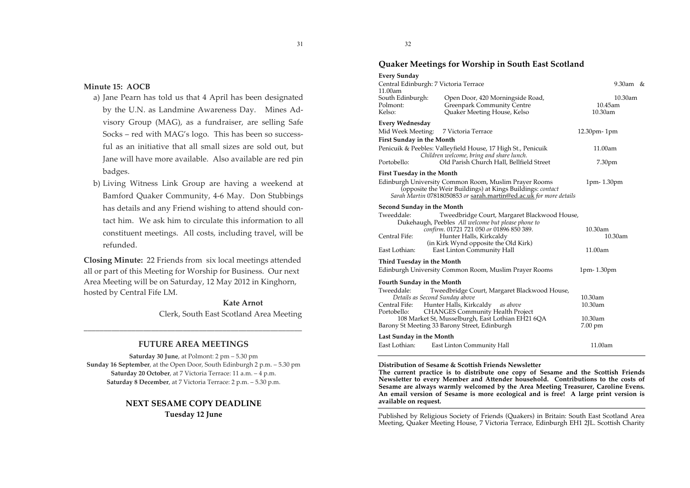## Minute 15: AOCB

- a) Jane Pearn has told us that 4 April has been designated by the U.N. as Landmine Awareness Day. Mines Advisory Group (MAG), as a fundraiser, are selling Safe Socks – red with MAG's logo. This has been so successful as an initiative that all small sizes are sold out, but Jane will have more available. Also available are red pin badges.
- b) Living Witness Link Group are having a weekend at Bamford Quaker Community, 4-6 May. Don Stubbings has details and any Friend wishing to attend should contact him. We ask him to circulate this information to all constituent meetings. All costs, including travel, will be refunded.

Closing Minute: 22 Friends from six local meetings attended all or part of this Meeting for Worship for Business. Our next Area Meeting will be on Saturday, 12 May 2012 in Kinghorn, hosted by Central Fife LM.

> **Kate Arnot** Clerk, South East Scotland Area Meeting

## **FUTURE AREA MEETINGS**

Saturday 30 June, at Polmont: 2 pm - 5.30 pm Sunday 16 September, at the Open Door, South Edinburgh 2 p.m. - 5.30 pm Saturday 20 October, at 7 Victoria Terrace: 11 a.m. - 4 p.m. Saturday 8 December, at 7 Victoria Terrace: 2 p.m. - 5.30 p.m.

#### **NEXT SESAME COPY DEADLINE**

Tuesday 12 June

32

31

## Quaker Meetings for Worship in South East Scotland

|  | <b>Every Sunday</b> |
|--|---------------------|
|--|---------------------|

| Central Edinburgh: 7 Victoria Terrace<br>11.00am                                                         |                                                                                                                                                                                          | 9.30am &           |  |
|----------------------------------------------------------------------------------------------------------|------------------------------------------------------------------------------------------------------------------------------------------------------------------------------------------|--------------------|--|
| South Edinburgh:<br>Polmont:                                                                             | Open Door, 420 Morningside Road,<br><b>Greenpark Community Centre</b>                                                                                                                    | 10.30am<br>10.45am |  |
| Kelso:                                                                                                   | Quaker Meeting House, Kelso                                                                                                                                                              | 10.30am            |  |
| <b>Every Wednesday</b>                                                                                   |                                                                                                                                                                                          |                    |  |
| Mid Week Meeting:                                                                                        | 7 Victoria Terrace                                                                                                                                                                       | 12.30pm-1pm        |  |
| First Sunday in the Month                                                                                |                                                                                                                                                                                          |                    |  |
| Penicuik & Peebles: Valleyfield House, 17 High St., Penicuik<br>Children welcome, bring and share lunch. |                                                                                                                                                                                          | 11.00am            |  |
| Portobello:                                                                                              | Old Parish Church Hall, Bellfield Street                                                                                                                                                 | 7.30pm             |  |
| <b>First Tuesday in the Month</b>                                                                        |                                                                                                                                                                                          |                    |  |
|                                                                                                          | Edinburgh University Common Room, Muslim Prayer Rooms<br>(opposite the Weir Buildings) at Kings Buildings: contact<br>Sarah Martin 07818050853 or sarah.martin@ed.ac.uk for more details | $1pm-1.30pm$       |  |
| Second Sunday in the Month                                                                               |                                                                                                                                                                                          |                    |  |
| Tweeddale:                                                                                               | Tweedbridge Court, Margaret Blackwood House,                                                                                                                                             |                    |  |
|                                                                                                          | Dukehaugh, Peebles All welcome but please phone to                                                                                                                                       | 10.30am            |  |
| Central Fife:                                                                                            | confirm. 01721 721 050 or 01896 850 389.<br>Hunter Halls, Kirkcaldy                                                                                                                      | 10.30am            |  |
|                                                                                                          | (in Kirk Wynd opposite the Old Kirk)                                                                                                                                                     |                    |  |
| East Lothian:                                                                                            | East Linton Community Hall                                                                                                                                                               | 11.00am            |  |
| Third Tuesday in the Month                                                                               |                                                                                                                                                                                          |                    |  |
|                                                                                                          | Edinburgh University Common Room, Muslim Prayer Rooms                                                                                                                                    | 1pm-1.30pm         |  |
| Fourth Sunday in the Month                                                                               |                                                                                                                                                                                          |                    |  |
| Tweeddale:                                                                                               | Tweedbridge Court, Margaret Blackwood House,                                                                                                                                             |                    |  |
| Details as Second Sunday above<br>Central Fife:                                                          | Hunter Halls, Kirkcaldy as above                                                                                                                                                         | 10.30am<br>10.30am |  |
| Portobello:                                                                                              | <b>CHANGES Community Health Project</b>                                                                                                                                                  |                    |  |
| 108 Market St, Musselburgh, East Lothian EH21 6QA                                                        |                                                                                                                                                                                          | 10.30am            |  |
|                                                                                                          | Barony St Meeting 33 Barony Street, Edinburgh                                                                                                                                            | 7.00 pm            |  |
| Last Sunday in the Month                                                                                 |                                                                                                                                                                                          |                    |  |
| East Lothian:                                                                                            | East Linton Community Hall                                                                                                                                                               | 11.00am            |  |
|                                                                                                          |                                                                                                                                                                                          |                    |  |

Distribution of Sesame & Scottish Friends Newsletter

The current practice is to distribute one copy of Sesame and the Scottish Friends Newsletter to every Member and Attender household. Contributions to the costs of Sesame are always warmly welcomed by the Area Meeting Treasurer, Caroline Evens. An email version of Sesame is more ecological and is free! A large print version is available on request.

Published by Religious Society of Friends (Quakers) in Britain: South East Scotland Area Meeting, Quaker Meeting House, 7 Victoria Terrace, Edinburgh EH1 2JL. Scottish Charity